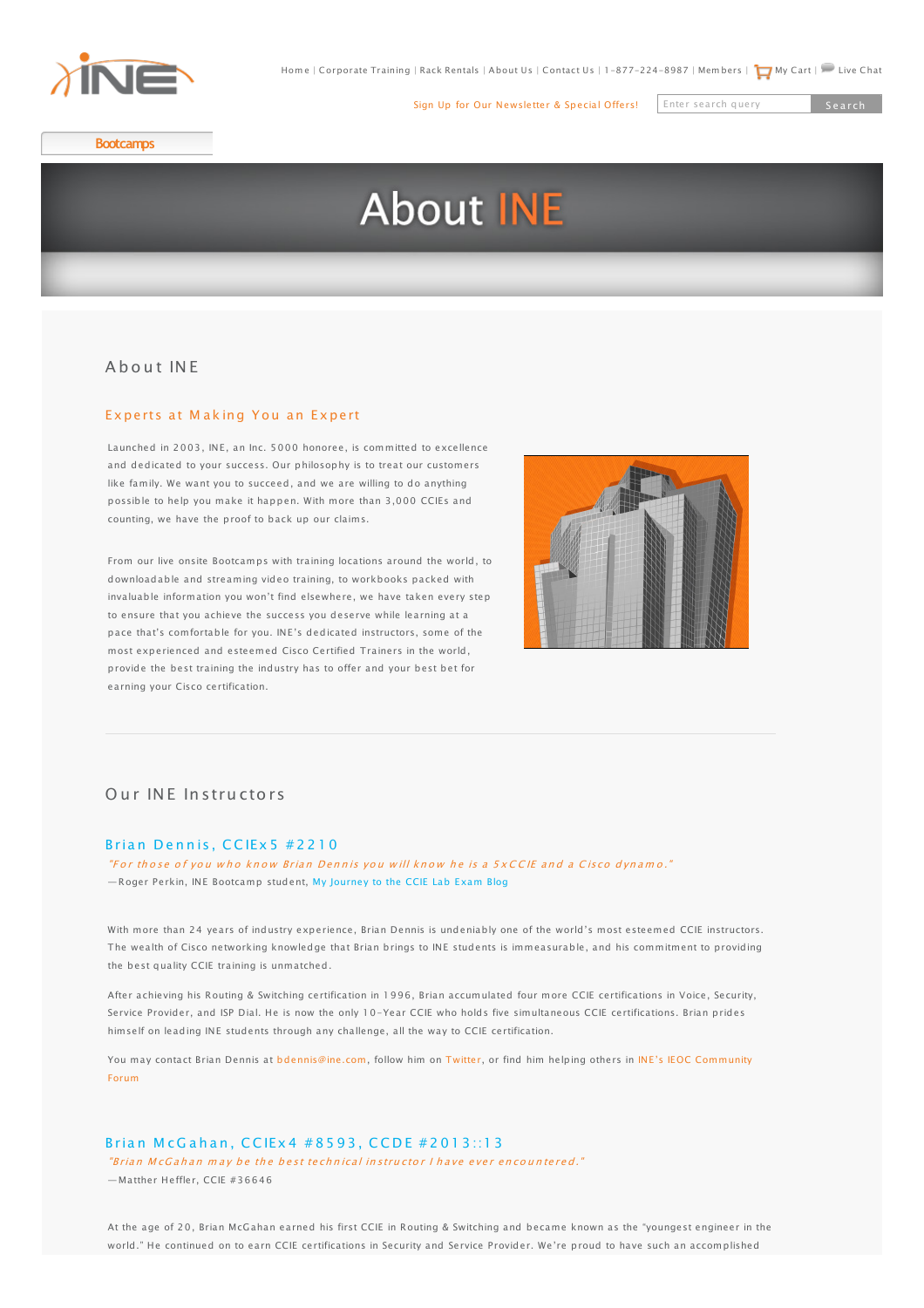

[Sign Up for Our Newsletter & Special Offers!](http://www.ine.com/email/index.php)

Enter search query Search

**[Bootcamps](http://www.ine.com/instructor-led/bootcamps.htm)**

# **About INE**

## [A b o u t IN E](http://www.ine.com/instructor-led/ccie-security/bootcamps.htm)

### Expertsat Making You an Expert

[Launched in 2003,](http://www.ine.com/cisco-training.htm#sp) INE, an Inc. 5000 honoree, is committed to excellence and dedicated to your success. Our philosophy is to treat our customers [like family. We want](http://www.ine.com/all-access-pass-subscription.htm) you to succeed, and we are willing to do anything [possible to help yo](http://www.ine.com/self-paced/ccie-routing-switching.htm)u m[ake it happen. With more tha](http://www.ine.com/rack-rental-tokens.htm)n 3,[000 CCIEs and](http://www.ine.com/self-paced/technologies/nexus-primer.htm) [counting, we have th](http://www.ine.com/self-paced/ccie-routing-switching/bootcamps.htm)e proof to back up our claims.

[From our live onsite](http://www.ine.com/self-paced/ccie-routing-switching/workbooks.htm) Bo[otcamps with training location](http://www.ine.com/self-paced/ccnp/bootcamps/ccnp-routing-switching-course.htm)s a[round the world, to](http://www.ine.com/self-paced/ccie-routing-switching/bootcamps/ccie-routing-switching-deep-dive-security-courses.htm) [downloadable and s](http://www.ine.com/ccie-routing-switching-lab-preparation.htm)tre[aming video training, to work](http://www.ine.com/self-paced/ccnp/bootcamps/ccnp-voice-course.htm)books packed with [invaluable informatio](http://www.ine.com/ccie-routing-switching-dedicated.htm)n [you won't find elsewhere, we](http://www.ine.com/self-paced/ccnp/bootcamps/ccnp-security.htm) hav[e taken every step](http://www.ine.com/self-paced/ccie-routing-switching/bootcamps/ccie-routing-switching-deep-dive-multicast-courses.htm) [to ensure that you a](http://www.ine.com/self-paced/ccie-data-center.htm)chieve the success you deserve whil[e learning at a](http://www.ine.com/self-paced/technologies/networking-fundamentals.htm) [pace that's comforta](http://www.ine.com/self-paced/ccie-data-center/videos.htm)ble for you. INE's dedicated instructors, some of the [most experienced a](http://www.ine.com/self-paced/ccie-data-center/workbooks.htm)nd [esteemed Cisco Certified Tra](http://www.ine.com/self-paced/ccna/bootcamps.htm)iners in the world, [provide the best tra](http://www.ine.com/ccie-data-center-lab-preparation.htm)ini[ng the industry has to offer an](http://www.ine.com/self-paced/ccna-voice/bootcamps.htm)d y[our best bet for](http://www.ine.com/self-paced/ccnp/bootcamps/ccnp-routing-switching-course.htm) [earning your Cisco](http://www.ine.com/self-paced/ccie-voice.htm) cert[ification.](http://www.ine.com/self-paced/ccna-security/bootcamps.htm)



## [O](http://www.ine.com/self-paced/ccie-security/workbooks.htm)urINF Instr[u](http://www.ine.com/self-paced/ccie-security/workbooks.htm)ctor[s](http://www.ine.com/self-paced/ccie-security/workbooks.htm)

#### Brian Denni[s](http://www.ine.com/self-paced/ccie-service-provider/bootcamps/ccie-service-provider-advanced-technologies-class.htm), CCIEx 5 # 2 2 1 0

"For those of you who know Brian Dennis you will know he is a 5xCCIE and a Cisco dynamo." [— Roger Perkin, INE](http://www.ine.com/self-paced/ccie-service-provider/workbooks.htm) Bootcamp student, [My Journey to the CCIE Lab Exam Blog](http://www.rogerperkin.co.uk/ccie)

With more than 24 years of industry experience, Brian Dennis is undeniably one of the world's most esteemed CCIE instructors. The wealth of Cisco networking knowledge that Brian brings to INE students is immeasurable, and his commitment to providing the best quality CCIE training is unmatched.

After achieving his Routing & Switching certification in 1996, Brian accumulated four more CCIE certifications in Voice, Security, Service Provider, and ISP Dial. He is now the only 10-Year CCIE who holds five simultaneous CCIE certifications. Brian prides himself on leading INE students through any challenge, all the way to CCIE certification.

[You may contact Brian Dennis at bdennis@ine.com, follow him on Twitter, or find him helping others in INE's IEOC Community](http://ieoc.com) Forum

#### Brian McGahan, CCIEx 4 # 8 5 9 3, CCDE # 2013::13

"Brian McGahan may be the best technical instructor I have ever encountered." — Matther Heffler, CCIE #36646

At the age of 20, Brian McGahan earned his first CCIE in Routing & Switching and became known as the "youngest engineer in the world." He continued on to earn CCIE certifications in Security and Service Provider. We're proud to have such an accomplished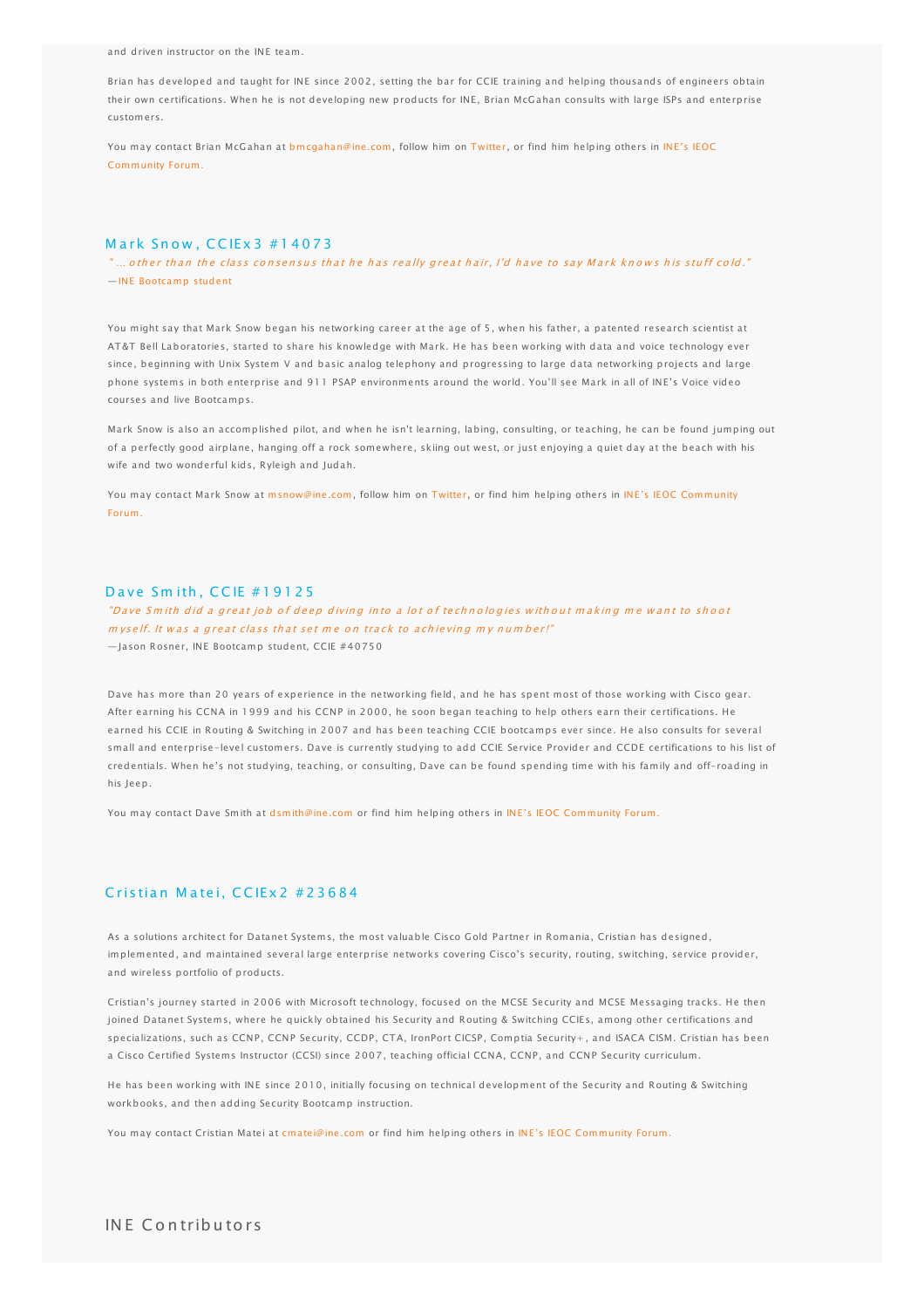<span id="page-1-0"></span>and driven instructor on the INE team.

Brian has developed and taught for INE since 2002, setting the bar for CCIE training and helping thousands of engineers obtain their own certifications. When he is not developing new products for INE, Brian McGahan consults with large ISPs and enterprise customers.

[You may contact Brian McGahan at bmcgahan@ine.com, follow him on Twitter, or find him helping others in INE's IEOC](http://ieoc.com) Community Forum.

### Mark Snow, CCIEx 3 # 14073

 $^{\prime}$  … o ther than the class consensus that he has really great hair, I'd have to say Mark knows his stuff cold." —[INE Bootcamp student](http://amyengineer.com/tag/ine-voice-bootcamp/)

You might say that Mark Snow began his networking career at the age of 5, when his father, a patented research scientist at AT&T Bell Laboratories, started to share his knowledge with Mark. He has been working with data and voice technology ever since, beginning with Unix System V and basic analog telephony and progressing to large data networking projects and large phone systems in both enterprise and 911 PSAP environments around the world. You'll see Mark in all of INE's Voice video courses and live Bootcamps.

Mark Snow is also an accomplished pilot, and when he isn't learning, labing, consulting, or teaching, he can be found jumping out of a perfectly good airplane, hanging off a rock somewhere, skiing out west, or just enjoying a quiet day at the beach with his wife and two wonderful kids, Ryleigh and Judah.

[You may contact Mark Snow at msnow@ine.com, follow him on Twitter, or find him helping others in INE's IEOC Community](http://ieoc.com) Forum.

#### Dave Smith, CCIE #19125

"Dave Smith did a great job of deep diving into a lot of technologies without making me want to shoot  $m$  vself. It was a great class that set me on track to achieving my number!" — Jason Rosner, INE Bootcamp student, CCIE #40750

Dave has more than 20 years of experience in the networking field, and he has spent most of those working with Cisco gear. After earning his CCNA in 1999 and his CCNP in 2000, he soon began teaching to help others earn their certifications. He earned his CCIE in Routing & Switching in 2007 and has been teaching CCIE bootcamps ever since. He also consults for several small and enterprise-level customers. Dave is currently studying to add CCIE Service Provider and CCDE certifications to his list of credentials. When he's not studying, teaching, or consulting, Dave can be found spending time with his family and off-roading in his Jeep.

You may contact Dave Smith at [dsmith@ine.com](mailto:dsmith@ine.com) or find him helping others in [INE's IEOC Community Forum.](http://ieoc.com)

## Cristian Matei, CCIEx 2 # 2 3 6 8 4

As a solutions architect for Datanet Systems, the most valuable Cisco Gold Partner in Romania, Cristian has designed, implemented, and maintained several large enterprise networks covering Cisco's security, routing, switching, service provider, and wireless portfolio of products.

Cristian's journey started in 2006 with Microsoft technology, focused on the MCSE Security and MCSE Messaging tracks. He then joined Datanet Systems, where he quickly obtained his Security and Routing & Switching CCIEs, among other certifications and specializations, such as CCNP, CCNP Security, CCDP, CTA, IronPort CICSP, Comptia Security+ , and ISACA CISM. Cristian has been a Cisco Certified Systems Instructor (CCSI) since 2007, teaching official CCNA, CCNP, and CCNP Security curriculum.

He has been working with INE since 2010, initially focusing on technical development of the Security and Routing & Switching workbooks, and then adding Security Bootcamp instruction.

You may contact Cristian Matei at [cmatei@ine.com](mailto:cmatei@ine.com) or find him helping others in [INE's IEOC Community Forum.](http://ieoc.com)